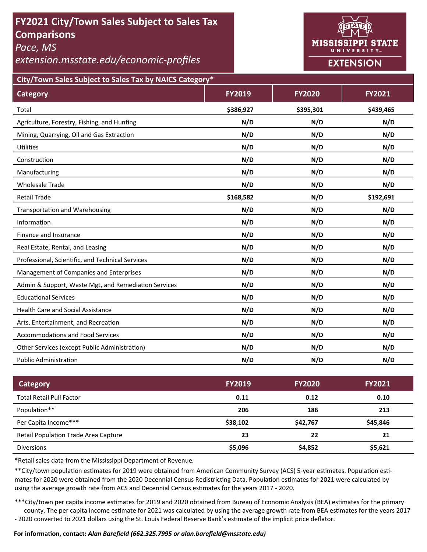# **FY2021 City/Town Sales Subject to Sales Tax Comparisons**

*Pace, MS* 

*extension.msstate.edu/economic‐profiles* 



**City/Town Sales Subject to Sales Tax by NAICS Category\***

| <b>Category</b>                                      | <b>FY2019</b> | <b>FY2020</b> | FY2021    |
|------------------------------------------------------|---------------|---------------|-----------|
| Total                                                | \$386,927     | \$395,301     | \$439,465 |
| Agriculture, Forestry, Fishing, and Hunting          | N/D           | N/D           | N/D       |
| Mining, Quarrying, Oil and Gas Extraction            | N/D           | N/D           | N/D       |
| Utilities                                            | N/D           | N/D           | N/D       |
| Construction                                         | N/D           | N/D           | N/D       |
| Manufacturing                                        | N/D           | N/D           | N/D       |
| <b>Wholesale Trade</b>                               | N/D           | N/D           | N/D       |
| <b>Retail Trade</b>                                  | \$168,582     | N/D           | \$192,691 |
| <b>Transportation and Warehousing</b>                | N/D           | N/D           | N/D       |
| Information                                          | N/D           | N/D           | N/D       |
| Finance and Insurance                                | N/D           | N/D           | N/D       |
| Real Estate, Rental, and Leasing                     | N/D           | N/D           | N/D       |
| Professional, Scientific, and Technical Services     | N/D           | N/D           | N/D       |
| Management of Companies and Enterprises              | N/D           | N/D           | N/D       |
| Admin & Support, Waste Mgt, and Remediation Services | N/D           | N/D           | N/D       |
| <b>Educational Services</b>                          | N/D           | N/D           | N/D       |
| <b>Health Care and Social Assistance</b>             | N/D           | N/D           | N/D       |
| Arts, Entertainment, and Recreation                  | N/D           | N/D           | N/D       |
| <b>Accommodations and Food Services</b>              | N/D           | N/D           | N/D       |
| Other Services (except Public Administration)        | N/D           | N/D           | N/D       |
| <b>Public Administration</b>                         | N/D           | N/D           | N/D       |

| <b>Category</b>                      | <b>FY2019</b> | <b>FY2020</b> | <b>FY2021</b> |
|--------------------------------------|---------------|---------------|---------------|
| <b>Total Retail Pull Factor</b>      | 0.11          | 0.12          | 0.10          |
| Population**                         | 206           | 186           | 213           |
| Per Capita Income***                 | \$38,102      | \$42,767      | \$45,846      |
| Retail Population Trade Area Capture | 23            | 22            | 21            |
| <b>Diversions</b>                    | \$5,096       | \$4,852       | \$5,621       |

\*Retail sales data from the Mississippi Department of Revenue*.* 

\*\*City/town population estimates for 2019 were obtained from American Community Survey (ACS) 5-year estimates. Population estimates for 2020 were obtained from the 2020 Decennial Census Redistricting Data. Population estimates for 2021 were calculated by using the average growth rate from ACS and Decennial Census estimates for the years 2017 - 2020.

\*\*\*City/town per capita income estimates for 2019 and 2020 obtained from Bureau of Economic Analysis (BEA) estimates for the primary county. The per capita income estimate for 2021 was calculated by using the average growth rate from BEA estimates for the years 2017 - 2020 converted to 2021 dollars using the St. Louis Federal Reserve Bank's estimate of the implicit price deflator.

### **For informaƟon, contact:** *Alan Barefield (662.325.7995 or alan.barefield@msstate.edu)*